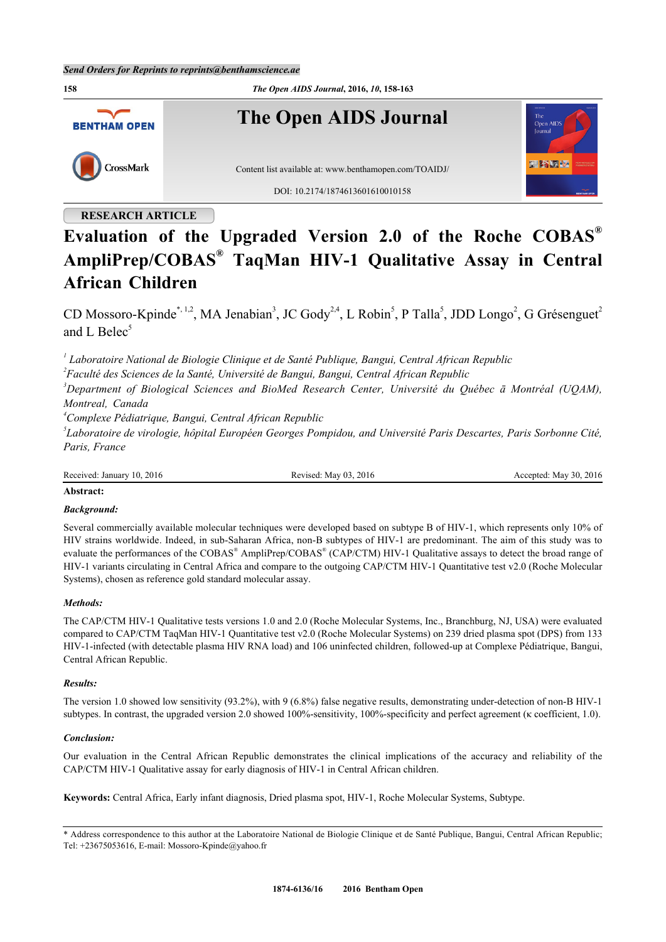*Send Orders for Reprints to reprints@benthamscience.ae*



# **Evaluation of the Upgraded Version 2.0 of the Roche COBAS® AmpliPrep/COBAS® TaqMan HIV-1 Qualitative Assay in Central African Children**

CD Mossoro-Kpinde[\\*](#page-0-0), [1,](#page-0-1)[2](#page-0-2), MA Jenabian<sup>[3](#page-0-3)</sup>, JC Gody<sup>2[,4](#page-0-4)</sup>, L Robin<sup>[5](#page-0-5)</sup>, P Talla<sup>5</sup>, JDD Longo<sup>2</sup>, G Grésenguet<sup>2</sup> and L Belec $<sup>5</sup>$  $<sup>5</sup>$  $<sup>5</sup>$ </sup>

<span id="page-0-1"></span>*1 Laboratoire National de Biologie Clinique et de Santé Publique, Bangui, Central African Republic*

<span id="page-0-2"></span>*2 Faculté des Sciences de la Santé, Université de Bangui, Bangui, Central African Republic*

<span id="page-0-3"></span>*<sup>3</sup>Department of Biological Sciences and BioMed Research Center, Université du Québec ā Montréal (UQAM), Montreal, Canada*

<span id="page-0-4"></span>*<sup>4</sup>Complexe Pédiatrique, Bangui, Central African Republic*

<span id="page-0-5"></span>*5 Laboratoire de virologie, hôpital Européen Georges Pompidou, and Université Paris Descartes, Paris Sorbonne Cité, Paris, France*

Received: January 10, 2016 Revised: May 03, 2016 Revised: May 03, 2016 Accepted: May 30, 2016

# **Abstract:**

# *Background:*

Several commercially available molecular techniques were developed based on subtype B of HIV-1, which represents only 10% of HIV strains worldwide. Indeed, in sub-Saharan Africa, non-B subtypes of HIV-1 are predominant. The aim of this study was to evaluate the performances of the COBAS<sup>®</sup> AmpliPrep/COBAS<sup>®</sup> (CAP/CTM) HIV-1 Qualitative assays to detect the broad range of HIV-1 variants circulating in Central Africa and compare to the outgoing CAP/CTM HIV-1 Quantitative test v2.0 (Roche Molecular Systems), chosen as reference gold standard molecular assay.

# *Methods:*

The CAP/CTM HIV-1 Qualitative tests versions 1.0 and 2.0 (Roche Molecular Systems, Inc., Branchburg, NJ, USA) were evaluated compared to CAP/CTM TaqMan HIV-1 Quantitative test v2.0 (Roche Molecular Systems) on 239 dried plasma spot (DPS) from 133 HIV-1-infected (with detectable plasma HIV RNA load) and 106 uninfected children, followed-up at Complexe Pédiatrique, Bangui, Central African Republic.

# *Results:*

The version 1.0 showed low sensitivity (93.2%), with 9 (6.8%) false negative results, demonstrating under-detection of non-B HIV-1 subtypes. In contrast, the upgraded version 2.0 showed 100%-sensitivity, 100%-specificity and perfect agreement (κ coefficient, 1.0).

# *Conclusion:*

Our evaluation in the Central African Republic demonstrates the clinical implications of the accuracy and reliability of the CAP/CTM HIV-1 Qualitative assay for early diagnosis of HIV-1 in Central African children.

**Keywords:** Central Africa, Early infant diagnosis, Dried plasma spot, HIV-1, Roche Molecular Systems, Subtype.

<span id="page-0-0"></span>\* Address correspondence to this author at the Laboratoire National de Biologie Clinique et de Santé Publique, Bangui, Central African Republic; Tel: +23675053616, E-mail: [Mossoro-Kpinde@yahoo.fr](mailto:Mossoro-Kpinde@yahoo.fr)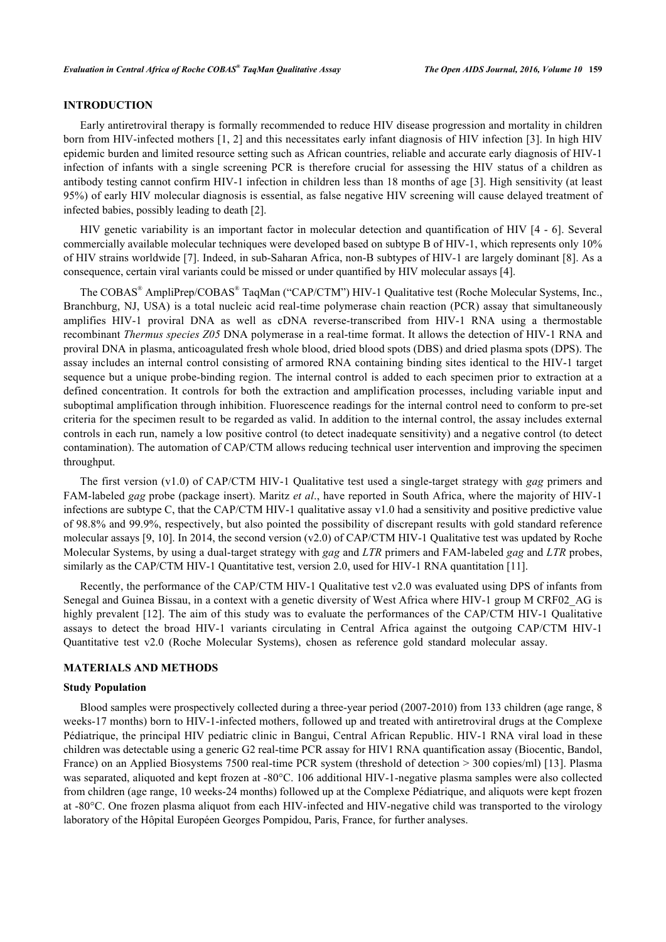# **INTRODUCTION**

Early antiretroviral therapy is formally recommended to reduce HIV disease progression and mortality in children born from HIV-infected mothers [[1,](#page-4-0) [2\]](#page-4-1) and this necessitates early infant diagnosis of HIV infection [[3](#page-4-2)]. In high HIV epidemic burden and limited resource setting such as African countries, reliable and accurate early diagnosis of HIV-1 infection of infants with a single screening PCR is therefore crucial for assessing the HIV status of a children as antibody testing cannot confirm HIV-1 infection in children less than 18 months of age [[3\]](#page-4-2). High sensitivity (at least 95%) of early HIV molecular diagnosis is essential, as false negative HIV screening will cause delayed treatment of infected babies, possibly leading to death [[2\]](#page-4-1).

HIV genetic variability is an important factor in molecular detection and quantification of HIV [[4](#page-4-3) - [6\]](#page-4-4). Several commercially available molecular techniques were developed based on subtype B of HIV-1, which represents only 10% of HIV strains worldwide [\[7\]](#page-5-0). Indeed, in sub-Saharan Africa, non-B subtypes of HIV-1 are largely dominant [\[8](#page-5-1)]. As a consequence, certain viral variants could be missed or under quantified by HIV molecular assays [\[4](#page-4-3)].

The COBAS® AmpliPrep/COBAS® TaqMan ("CAP/CTM") HIV-1 Qualitative test (Roche Molecular Systems, Inc., Branchburg, NJ, USA) is a total nucleic acid real-time polymerase chain reaction (PCR) assay that simultaneously amplifies HIV-1 proviral DNA as well as cDNA reverse-transcribed from HIV-1 RNA using a thermostable recombinant *Thermus species Z05* DNA polymerase in a real-time format. It allows the detection of HIV-1 RNA and proviral DNA in plasma, anticoagulated fresh whole blood, dried blood spots (DBS) and dried plasma spots (DPS). The assay includes an internal control consisting of armored RNA containing binding sites identical to the HIV-1 target sequence but a unique probe-binding region. The internal control is added to each specimen prior to extraction at a defined concentration. It controls for both the extraction and amplification processes, including variable input and suboptimal amplification through inhibition. Fluorescence readings for the internal control need to conform to pre-set criteria for the specimen result to be regarded as valid. In addition to the internal control, the assay includes external controls in each run, namely a low positive control (to detect inadequate sensitivity) and a negative control (to detect contamination). The automation of CAP/CTM allows reducing technical user intervention and improving the specimen throughput.

The first version (v1.0) of CAP/CTM HIV-1 Qualitative test used a single-target strategy with *gag* primers and FAM-labeled *gag* probe (package insert). Maritz *et al*., have reported in South Africa, where the majority of HIV-1 infections are subtype C, that the CAP/CTM HIV-1 qualitative assay v1.0 had a sensitivity and positive predictive value of 98.8% and 99.9%, respectively, but also pointed the possibility of discrepant results with gold standard reference molecular assays [[9,](#page-5-2) [10\]](#page-5-3). In 2014, the second version (v2.0) of CAP/CTM HIV-1 Qualitative test was updated by Roche Molecular Systems, by using a dual-target strategy with *gag* and *LTR* primers and FAM-labeled *gag* and *LTR* probes, similarly as the CAP/CTM HIV-1 Quantitative test, version 2.0, used for HIV-1 RNA quantitation [\[11](#page-5-4)].

Recently, the performance of the CAP/CTM HIV-1 Qualitative test v2.0 was evaluated using DPS of infants from Senegal and Guinea Bissau, in a context with a genetic diversity of West Africa where HIV-1 group M CRF02\_AG is highly prevalent [\[12](#page-5-5)]. The aim of this study was to evaluate the performances of the CAP/CTM HIV-1 Qualitative assays to detect the broad HIV-1 variants circulating in Central Africa against the outgoing CAP/CTM HIV-1 Quantitative test v2.0 (Roche Molecular Systems), chosen as reference gold standard molecular assay.

#### **MATERIALS AND METHODS**

### **Study Population**

Blood samples were prospectively collected during a three-year period (2007-2010) from 133 children (age range, 8 weeks-17 months) born to HIV-1-infected mothers, followed up and treated with antiretroviral drugs at the Complexe Pédiatrique, the principal HIV pediatric clinic in Bangui, Central African Republic. HIV-1 RNA viral load in these children was detectable using a generic G2 real-time PCR assay for HIV1 RNA quantification assay (Biocentic, Bandol, France) on an Applied Biosystems 7500 real-time PCR system (threshold of detection > 300 copies/ml) [\[13](#page-5-6)]. Plasma was separated, aliquoted and kept frozen at -80°C. 106 additional HIV-1-negative plasma samples were also collected from children (age range, 10 weeks-24 months) followed up at the Complexe Pédiatrique, and aliquots were kept frozen at -80°C. One frozen plasma aliquot from each HIV-infected and HIV-negative child was transported to the virology laboratory of the Hôpital Européen Georges Pompidou, Paris, France, for further analyses.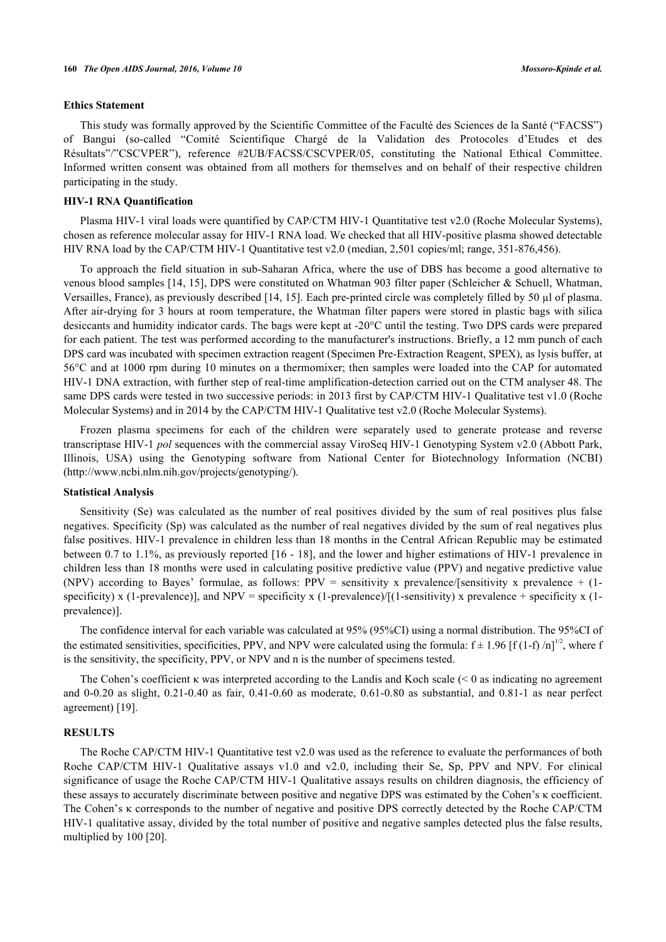#### **Ethics Statement**

This study was formally approved by the Scientific Committee of the Faculté des Sciences de la Santé ("FACSS") of Bangui (so-called "Comité Scientifique Chargé de la Validation des Protocoles d'Etudes et des Résultats"/"CSCVPER"), reference #2UB/FACSS/CSCVPER/05, constituting the National Ethical Committee. Informed written consent was obtained from all mothers for themselves and on behalf of their respective children participating in the study.

# **HIV-1 RNA Quantification**

Plasma HIV-1 viral loads were quantified by CAP/CTM HIV-1 Quantitative test v2.0 (Roche Molecular Systems), chosen as reference molecular assay for HIV-1 RNA load. We checked that all HIV-positive plasma showed detectable HIV RNA load by the CAP/CTM HIV-1 Quantitative test v2.0 (median, 2,501 copies/ml; range, 351-876,456).

To approach the field situation in sub-Saharan Africa, where the use of DBS has become a good alternative to venous blood samples [\[14](#page-5-7), [15](#page-5-8)], DPS were constituted on Whatman 903 filter paper (Schleicher & Schuell, Whatman, Versailles, France), as previously described [[14,](#page-5-7) [15](#page-5-8)]. Each pre-printed circle was completely filled by 50 µl of plasma. After air-drying for 3 hours at room temperature, the Whatman filter papers were stored in plastic bags with silica desiccants and humidity indicator cards. The bags were kept at -20°C until the testing. Two DPS cards were prepared for each patient. The test was performed according to the manufacturer's instructions. Briefly, a 12 mm punch of each DPS card was incubated with specimen extraction reagent (Specimen Pre-Extraction Reagent, SPEX), as lysis buffer, at 56°C and at 1000 rpm during 10 minutes on a thermomixer; then samples were loaded into the CAP for automated HIV-1 DNA extraction, with further step of real-time amplification-detection carried out on the CTM analyser 48. The same DPS cards were tested in two successive periods: in 2013 first by CAP/CTM HIV-1 Qualitative test v1.0 (Roche Molecular Systems) and in 2014 by the CAP/CTM HIV-1 Qualitative test v2.0 (Roche Molecular Systems).

Frozen plasma specimens for each of the children were separately used to generate protease and reverse transcriptase HIV-1 *pol* sequences with the commercial assay ViroSeq HIV-1 Genotyping System v2.0 (Abbott Park, Illinois, USA) using the Genotyping software from National Center for Biotechnology Information (NCBI) [\(http://www.ncbi.nlm.nih.gov/projects/genotyping/](http://www.ncbi.nlm.nih.gov/projects/genotyping/)).

#### **Statistical Analysis**

Sensitivity (Se) was calculated as the number of real positives divided by the sum of real positives plus false negatives. Specificity (Sp) was calculated as the number of real negatives divided by the sum of real negatives plus false positives. HIV-1 prevalence in children less than 18 months in the Central African Republic may be estimated between 0.7 to 1.1%, as previously reported [\[16](#page-5-9) - [18](#page-5-10)], and the lower and higher estimations of HIV-1 prevalence in children less than 18 months were used in calculating positive predictive value (PPV) and negative predictive value (NPV) according to Bayes' formulae, as follows:  $PPV =$  sensitivity x prevalence/[sensitivity x prevalence + (1specificity) x (1-prevalence)], and NPV = specificity x (1-prevalence)/[(1-sensitivity) x prevalence + specificity x (1prevalence)].

The confidence interval for each variable was calculated at 95% (95%CI) using a normal distribution. The 95%CI of the estimated sensitivities, specificities, PPV, and NPV were calculated using the formula:  $f \pm 1.96$  [f (1-f) /n]<sup>1/2</sup>, where f is the sensitivity, the specificity, PPV, or NPV and n is the number of specimens tested.

The Cohen's coefficient κ was interpreted according to the Landis and Koch scale (< 0 as indicating no agreement and 0-0.20 as slight, 0.21-0.40 as fair, 0.41-0.60 as moderate, 0.61-0.80 as substantial, and 0.81-1 as near perfect agreement) [[19\]](#page-5-11).

# **RESULTS**

The Roche CAP/CTM HIV-1 Quantitative test v2.0 was used as the reference to evaluate the performances of both Roche CAP/CTM HIV-1 Qualitative assays v1.0 and v2.0, including their Se, Sp, PPV and NPV. For clinical significance of usage the Roche CAP/CTM HIV-1 Qualitative assays results on children diagnosis, the efficiency of these assays to accurately discriminate between positive and negative DPS was estimated by the Cohen's κ coefficient. The Cohen's κ corresponds to the number of negative and positive DPS correctly detected by the Roche CAP/CTM HIV-1 qualitative assay, divided by the total number of positive and negative samples detected plus the false results, multiplied by 100 [[20\]](#page-5-12).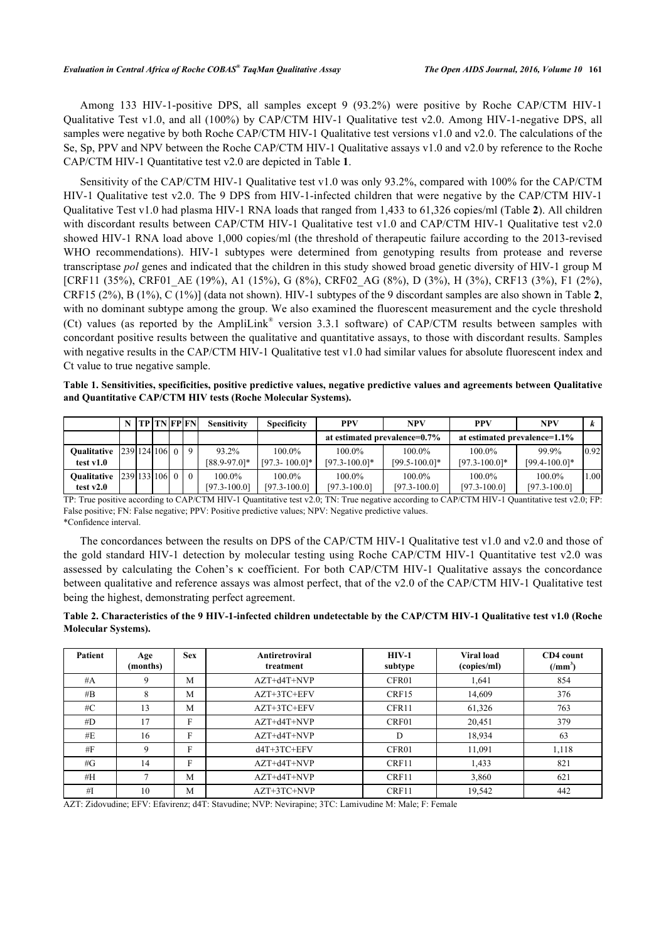Among 133 HIV-1-positive DPS, all samples except 9 (93.2%) were positive by Roche CAP/CTM HIV-1 Qualitative Test v1.0, and all (100%) by CAP/CTM HIV-1 Qualitative test v2.0. Among HIV-1-negative DPS, all samples were negative by both Roche CAP/CTM HIV-1 Qualitative test versions v1.0 and v2.0. The calculations of the Se, Sp, PPV and NPV between the Roche CAP/CTM HIV-1 Qualitative assays v1.0 and v2.0 by reference to the Roche CAP/CTM HIV-1 Quantitative test v2.0 are depicted in Table **[1](#page--1-0)**.

Sensitivity of the CAP/CTM HIV-1 Qualitative test v1.0 was only 93.2%, compared with 100% for the CAP/CTM HIV-1 Qualitative test v2.0. The 9 DPS from HIV-1-infected children that were negative by the CAP/CTM HIV-1 Qualitative Test v1.0 had plasma HIV-1 RNA loads that ranged from 1,433 to 61,326 copies/ml (Table **[2](#page--1-0)**). All children with discordant results between CAP/CTM HIV-1 Qualitative test v1.0 and CAP/CTM HIV-1 Qualitative test v2.0 showed HIV-1 RNA load above 1,000 copies/ml (the threshold of therapeutic failure according to the 2013-revised WHO recommendations). HIV-1 subtypes were determined from genotyping results from protease and reverse transcriptase *pol* genes and indicated that the children in this study showed broad genetic diversity of HIV-1 group M [CRF11 (35%), CRF01 AE (19%), A1 (15%), G (8%), CRF02 AG (8%), D (3%), H (3%), CRF13 (3%), F1 (2%), CRF15 (2%), B (1%), C (1%)] (data not shown). HIV-1 subtypes of the 9 discordant samples are also shown in Table **[2](#page--1-0)**, with no dominant subtype among the group. We also examined the fluorescent measurement and the cycle threshold (Ct) values (as reported by the AmpliLink<sup>®</sup> version 3.3.1 software) of CAP/CTM results between samples with concordant positive results between the qualitative and quantitative assays, to those with discordant results. Samples with negative results in the CAP/CTM HIV-1 Qualitative test v1.0 had similar values for absolute fluorescent index and Ct value to true negative sample.

**Table 1. Sensitivities, specificities, positive predictive values, negative predictive values and agreements between Qualitative and Quantitative CAP/CTM HIV tests (Roche Molecular Systems).**

|                                   |                  | TP   TN   FP   FN |  | <b>Sensitivity</b>            | <b>Specificity</b>              | <b>PPV</b>                      | <b>NPV</b>                      | <b>PPV</b>                      | <b>NPV</b>                   |                 |
|-----------------------------------|------------------|-------------------|--|-------------------------------|---------------------------------|---------------------------------|---------------------------------|---------------------------------|------------------------------|-----------------|
|                                   |                  |                   |  |                               |                                 |                                 | at estimated prevalence=0.7%    |                                 | at estimated prevalence=1.1% |                 |
| <b>Oualitative</b><br>test v1.0   | 239 124 106 0 9  |                   |  | 93.2%<br>$[88.9 - 97.0]$ *    | $100.0\%$<br>$[97.3 - 100.0]$ * | $100.0\%$<br>$[97.3 - 100.0]$ * | $100.0\%$<br>$[99.5 - 100.0]$ * | $100.0\%$<br>$[97.3 - 100.0]$ * | 99.9%<br>$[99.4 - 100.0]$ *  | 0.92            |
| <b>Oualitative</b><br>test $v2.0$ | 2391331061 0 1 0 |                   |  | $100.0\%$<br>$[97.3 - 100.0]$ | $100.0\%$<br>$[97.3 - 100.0]$   | $100.0\%$<br>$[97.3 - 100.0]$   | 100.0%<br>$[97.3 - 100.0]$      | $100.0\%$<br>$[97.3 - 100.0]$   | 100.0%<br>$[97.3 - 100.0]$   | 00 <sub>1</sub> |

TP: True positive according to CAP/CTM HIV-1 Quantitative test v2.0; TN: True negative according to CAP/CTM HIV-1 Quantitative test v2.0; FP: False positive; FN: False negative; PPV: Positive predictive values; NPV: Negative predictive values. \*Confidence interval.

The concordances between the results on DPS of the CAP/CTM HIV-1 Qualitative test v1.0 and v2.0 and those of the gold standard HIV-1 detection by molecular testing using Roche CAP/CTM HIV-1 Quantitative test v2.0 was assessed by calculating the Cohen's κ coefficient. For both CAP/CTM HIV-1 Qualitative assays the concordance between qualitative and reference assays was almost perfect, that of the v2.0 of the CAP/CTM HIV-1 Qualitative test being the highest, demonstrating perfect agreement.

**Table 2. Characteristics of the 9 HIV-1-infected children undetectable by the CAP/CTM HIV-1 Qualitative test v1.0 (Roche Molecular Systems).**

| <b>Patient</b> | Age<br>(months) | <b>Sex</b> | <b>Antiretroviral</b><br>treatment | $HIV-1$<br>subtype | <b>Viral load</b><br>(copies/ml) | CD4 count<br>$(\text{mm}^3)$ |
|----------------|-----------------|------------|------------------------------------|--------------------|----------------------------------|------------------------------|
| #A             | 9               | M          | $AZT+d4T+NVP$                      | CFR01              | 1,641                            | 854                          |
| #B             | 8               | M          | AZT+3TC+EFV                        | CRF15              | 14,609                           | 376                          |
| # $C$          | 13              | M          | AZT+3TC+EFV                        | CFR11              | 61,326                           | 763                          |
| #D             | 17              | F          | AZT+d4T+NVP                        | CRF01              | 20,451                           | 379                          |
| #E             | 16              | F          | AZT+d4T+NVP                        | D                  | 18,934                           | 63                           |
| #F             | 9               | F          | d4T+3TC+EFV                        | CFR01              | 11,091                           | 1,118                        |
| # $G$          | 14              | F          | $AZT+d4T+NVP$                      | CRF11              | 1.433                            | 821                          |
| # $H$          |                 | M          | $AZT+d4T+NVP$                      | CRF11              | 3,860                            | 621                          |
| #I             | 10              | M          | $AZT+3TC+NVP$                      | CRF11              | 19,542                           | 442                          |

AZT: Zidovudine; EFV: Efavirenz; d4T: Stavudine; NVP: Nevirapine; 3TC: Lamivudine M: Male; F: Female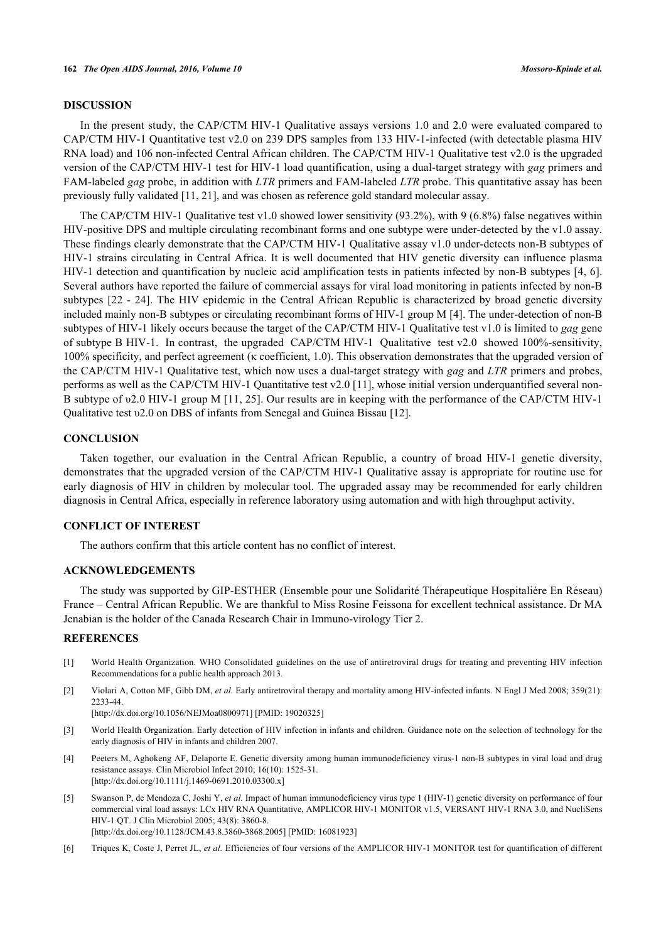#### **DISCUSSION**

In the present study, the CAP/CTM HIV-1 Qualitative assays versions 1.0 and 2.0 were evaluated compared to CAP/CTM HIV-1 Quantitative test v2.0 on 239 DPS samples from 133 HIV-1-infected (with detectable plasma HIV RNA load) and 106 non-infected Central African children. The CAP/CTM HIV-1 Qualitative test v2.0 is the upgraded version of the CAP/CTM HIV-1 test for HIV-1 load quantification, using a dual-target strategy with *gag* primers and FAM-labeled *gag* probe, in addition with *LTR* primers and FAM-labeled *LTR* probe. This quantitative assay has been previously fully validated [\[11](#page-5-4), [21](#page-5-13)], and was chosen as reference gold standard molecular assay.

The CAP/CTM HIV-1 Qualitative test v1.0 showed lower sensitivity (93.2%), with 9 (6.8%) false negatives within HIV-positive DPS and multiple circulating recombinant forms and one subtype were under-detected by the v1.0 assay. These findings clearly demonstrate that the CAP/CTM HIV-1 Qualitative assay v1.0 under-detects non-B subtypes of HIV-1 strains circulating in Central Africa. It is well documented that HIV genetic diversity can influence plasma HIV-1 detection and quantification by nucleic acid amplification tests in patients infected by non-B subtypes [[4,](#page-4-3) [6\]](#page-4-4). Several authors have reported the failure of commercial assays for viral load monitoring in patients infected by non-B subtypes [[22](#page-5-14) - [24\]](#page-5-15). The HIV epidemic in the Central African Republic is characterized by broad genetic diversity included mainly non-B subtypes or circulating recombinant forms of HIV-1 group M [\[4](#page-4-3)]. The under-detection of non-B subtypes of HIV-1 likely occurs because the target of the CAP/CTM HIV-1 Qualitative test v1.0 is limited to *gag* gene of subtype B HIV-1. In contrast, the upgraded CAP/CTM HIV-1 Qualitative test v2.0 showed 100%-sensitivity, 100% specificity, and perfect agreement (κ coefficient, 1.0). This observation demonstrates that the upgraded version of the CAP/CTM HIV-1 Qualitative test, which now uses a dual-target strategy with *gag* and *LTR* primers and probes, performs as well as the CAP/CTM HIV-1 Quantitative test v2.0 [[11\]](#page-5-4), whose initial version underquantified several non-B subtype of υ2.0 HIV-1 group M [[11,](#page-5-4) [25\]](#page-5-16). Our results are in keeping with the performance of the CAP/CTM HIV-1 Qualitative test υ2.0 on DBS of infants from Senegal and Guinea Bissau [[12\]](#page-5-5).

# **CONCLUSION**

Taken together, our evaluation in the Central African Republic, a country of broad HIV-1 genetic diversity, demonstrates that the upgraded version of the CAP/CTM HIV-1 Qualitative assay is appropriate for routine use for early diagnosis of HIV in children by molecular tool. The upgraded assay may be recommended for early children diagnosis in Central Africa, especially in reference laboratory using automation and with high throughput activity.

# **CONFLICT OF INTEREST**

The authors confirm that this article content has no conflict of interest.

#### **ACKNOWLEDGEMENTS**

The study was supported by GIP-ESTHER (Ensemble pour une Solidarité Thérapeutique Hospitalière En Réseau) France – Central African Republic. We are thankful to Miss Rosine Feissona for excellent technical assistance. Dr MA Jenabian is the holder of the Canada Research Chair in Immuno-virology Tier 2.

#### **REFERENCES**

- <span id="page-4-0"></span>[1] World Health Organization. WHO Consolidated guidelines on the use of antiretroviral drugs for treating and preventing HIV infection Recommendations for a public health approach 2013.
- <span id="page-4-1"></span>[2] Violari A, Cotton MF, Gibb DM, *et al.* Early antiretroviral therapy and mortality among HIV-infected infants. N Engl J Med 2008; 359(21): 2233-44.

[\[http://dx.doi.org/10.1056/NEJMoa0800971](http://dx.doi.org/10.1056/NEJMoa0800971)] [PMID: [19020325\]](http://www.ncbi.nlm.nih.gov/pubmed/19020325)

- <span id="page-4-2"></span>[3] World Health Organization. Early detection of HIV infection in infants and children. Guidance note on the selection of technology for the early diagnosis of HIV in infants and children 2007.
- <span id="page-4-3"></span>[4] Peeters M, Aghokeng AF, Delaporte E. Genetic diversity among human immunodeficiency virus-1 non-B subtypes in viral load and drug resistance assays. Clin Microbiol Infect 2010; 16(10): 1525-31. [\[http://dx.doi.org/10.1111/j.1469-0691.2010.03300.x\]](http://dx.doi.org/10.1111/j.1469-0691.2010.03300.x)
- [5] Swanson P, de Mendoza C, Joshi Y, *et al.* Impact of human immunodeficiency virus type 1 (HIV-1) genetic diversity on performance of four commercial viral load assays: LCx HIV RNA Quantitative, AMPLICOR HIV-1 MONITOR v1.5, VERSANT HIV-1 RNA 3.0, and NucliSens HIV-1 QT. J Clin Microbiol 2005; 43(8): 3860-8. [\[http://dx.doi.org/10.1128/JCM.43.8.3860-3868.2005](http://dx.doi.org/10.1128/JCM.43.8.3860-3868.2005)] [PMID: [16081923\]](http://www.ncbi.nlm.nih.gov/pubmed/16081923)
- <span id="page-4-4"></span>[6] Triques K, Coste J, Perret JL, *et al.* Efficiencies of four versions of the AMPLICOR HIV-1 MONITOR test for quantification of different